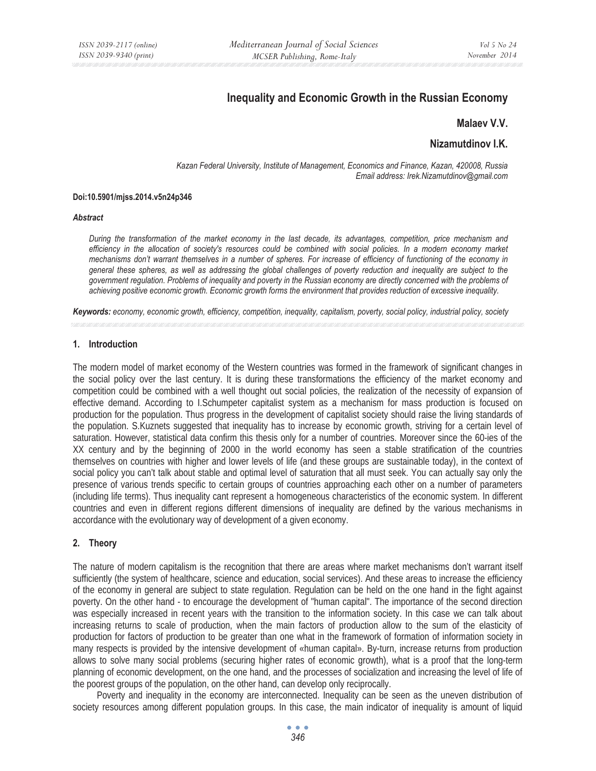# **Inequality and Economic Growth in the Russian Economy**

### **Malaev V.V.**

## **Nizamutdinov I.K.**

*Kazan Federal University, Institute of Management, Economics and Finance, Kazan, 420008, Russia Email address: Irek.Nizamutdinov@gmail.com* 

#### **Doi:10.5901/mjss.2014.v5n24p346**

#### *Abstract*

*During the transformation of the market economy in the last decade, its advantages, competition, price mechanism and efficiency in the allocation of society's resources could be combined with social policies. In a modern economy market mechanisms don't warrant themselves in a number of spheres. For increase of efficiency of functioning of the economy in general these spheres, as well as addressing the global challenges of poverty reduction and inequality are subject to the government regulation. Problems of inequality and poverty in the Russian economy are directly concerned with the problems of achieving positive economic growth. Economic growth forms the environment that provides reduction of excessive inequality.* 

*Keywords: economy, economic growth, efficiency, competition, inequality, capitalism, poverty, social policy, industrial policy, society* 

### **1. Introduction**

The modern model of market economy of the Western countries was formed in the framework of significant changes in the social policy over the last century. It is during these transformations the efficiency of the market economy and competition could be combined with a well thought out social policies, the realization of the necessity of expansion of effective demand. According to I.Schumpeter capitalist system as a mechanism for mass production is focused on production for the population. Thus progress in the development of capitalist society should raise the living standards of the population. S.Kuznets suggested that inequality has to increase by economic growth, striving for a certain level of saturation. However, statistical data confirm this thesis only for a number of countries. Moreover since the 60-ies of the XX century and by the beginning of 2000 in the world economy has seen a stable stratification of the countries themselves on countries with higher and lower levels of life (and these groups are sustainable today), in the context of social policy you can't talk about stable and optimal level of saturation that all must seek. You can actually say only the presence of various trends specific to certain groups of countries approaching each other on a number of parameters (including life terms). Thus inequality cant represent a homogeneous characteristics of the economic system. In different countries and even in different regions different dimensions of inequality are defined by the various mechanisms in accordance with the evolutionary way of development of a given economy.

### **2. Theory**

The nature of modern capitalism is the recognition that there are areas where market mechanisms don't warrant itself sufficiently (the system of healthcare, science and education, social services). And these areas to increase the efficiency of the economy in general are subject to state regulation. Regulation can be held on the one hand in the fight against poverty. On the other hand - to encourage the development of "human capital". The importance of the second direction was especially increased in recent years with the transition to the information society. In this case we can talk about increasing returns to scale of production, when the main factors of production allow to the sum of the elasticity of production for factors of production to be greater than one what in the framework of formation of information society in many respects is provided by the intensive development of «human capital». By-turn, increase returns from production allows to solve many social problems (securing higher rates of economic growth), what is a proof that the long-term planning of economic development, on the one hand, and the processes of socialization and increasing the level of life of the poorest groups of the population, on the other hand, can develop only reciprocally.

Poverty and inequality in the economy are interconnected. Inequality can be seen as the uneven distribution of society resources among different population groups. In this case, the main indicator of inequality is amount of liquid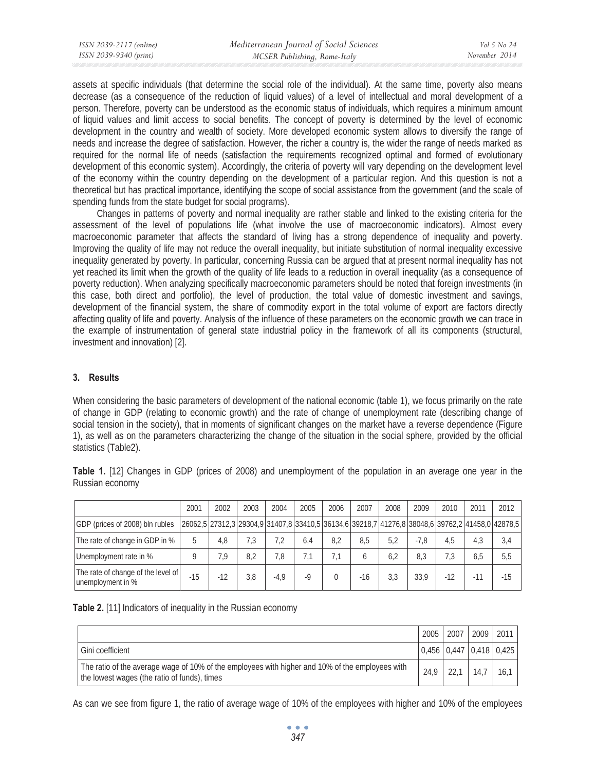| ISSN 2039-2117 (online) | Mediterranean Journal of Social Sciences | Vol 5 No 24   |
|-------------------------|------------------------------------------|---------------|
| ISSN 2039-9340 (print)  | MCSER Publishing, Rome-Italy             | November 2014 |
|                         |                                          |               |

assets at specific individuals (that determine the social role of the individual). At the same time, poverty also means decrease (as a consequence of the reduction of liquid values) of a level of intellectual and moral development of a person. Therefore, poverty can be understood as the economic status of individuals, which requires a minimum amount of liquid values and limit access to social benefits. The concept of poverty is determined by the level of economic development in the country and wealth of society. More developed economic system allows to diversify the range of needs and increase the degree of satisfaction. However, the richer a country is, the wider the range of needs marked as required for the normal life of needs (satisfaction the requirements recognized optimal and formed of evolutionary development of this economic system). Accordingly, the criteria of poverty will vary depending on the development level of the economy within the country depending on the development of a particular region. And this question is not a theoretical but has practical importance, identifying the scope of social assistance from the government (and the scale of spending funds from the state budget for social programs).

Changes in patterns of poverty and normal inequality are rather stable and linked to the existing criteria for the assessment of the level of populations life (what involve the use of macroeconomic indicators). Almost every macroeconomic parameter that affects the standard of living has a strong dependence of inequality and poverty. Improving the quality of life may not reduce the overall inequality, but initiate substitution of normal inequality excessive inequality generated by poverty. In particular, concerning Russia can be argued that at present normal inequality has not yet reached its limit when the growth of the quality of life leads to a reduction in overall inequality (as a consequence of poverty reduction). When analyzing specifically macroeconomic parameters should be noted that foreign investments (in this case, both direct and portfolio), the level of production, the total value of domestic investment and savings, development of the financial system, the share of commodity export in the total volume of export are factors directly affecting quality of life and poverty. Analysis of the influence of these parameters on the economic growth we can trace in the example of instrumentation of general state industrial policy in the framework of all its components (structural, investment and innovation) [2].

# **3. Results**

When considering the basic parameters of development of the national economic (table 1), we focus primarily on the rate of change in GDP (relating to economic growth) and the rate of change of unemployment rate (describing change of social tension in the society), that in moments of significant changes on the market have a reverse dependence (Figure 1), as well as on the parameters characterizing the change of the situation in the social sphere, provided by the official statistics (Table2).

**Table 1.** [12] Changes in GDP (prices of 2008) and unemployment of the population in an average one year in the Russian economy

|                                                         | 2001  | 2002  | 2003 | 2004   | 2005 | 2006 | 2007         | 2008 | 2009   | 2010                                                                                            | 2011  | 2012  |
|---------------------------------------------------------|-------|-------|------|--------|------|------|--------------|------|--------|-------------------------------------------------------------------------------------------------|-------|-------|
| GDP (prices of 2008) bln rubles                         |       |       |      |        |      |      |              |      |        | 26062,5 27312,3 29304,9 31407,8 33410,5 36134,6 39218,7 41276,8 38048,6 39762,2 41458,0 42878,5 |       |       |
| The rate of change in GDP in %                          | 5     | 4.8   | 7.3  | 7.2    | 6.4  | 8.2  | 8.5          | 5.2  | $-7.8$ | 4.5                                                                                             | 4,3   | 3.4   |
| Unemployment rate in %                                  |       | 7.9   | 8.2  | 7.8    | 7.1  | 7.1  | <sub>b</sub> | 6.2  | 8.3    | 7.3                                                                                             | 6.5   | 5.5   |
| The rate of change of the level of<br>unemployment in % | $-15$ | $-12$ | 3,8  | $-4.9$ |      |      | $-16$        | 3.3  | 33.9   | $-12$                                                                                           | $-11$ | $-15$ |

### **Table 2.** [11] Indicators of inequality in the Russian economy

|                                                                                                                                                 | $2005$ | 2007 | 2009 | -2011                           |
|-------------------------------------------------------------------------------------------------------------------------------------------------|--------|------|------|---------------------------------|
| Gini coefficient                                                                                                                                |        |      |      | $0,456$ $0,447$ $0,418$ $0,425$ |
| The ratio of the average wage of 10% of the employees with higher and 10% of the employees with<br>the lowest wages (the ratio of funds), times | 24.9   | 22.1 | 14.7 | 16.1                            |

As can we see from figure 1, the ratio of average wage of 10% of the employees with higher and 10% of the employees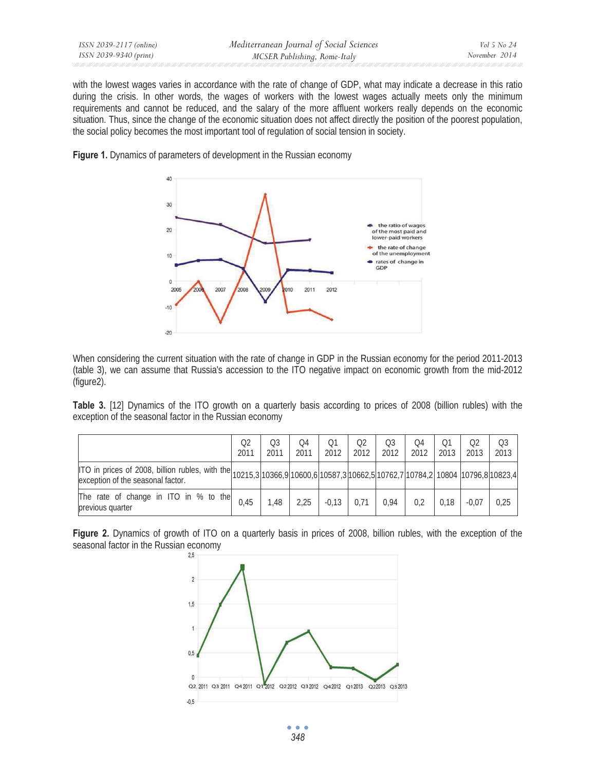with the lowest wages varies in accordance with the rate of change of GDP, what may indicate a decrease in this ratio during the crisis. In other words, the wages of workers with the lowest wages actually meets only the minimum requirements and cannot be reduced, and the salary of the more affluent workers really depends on the economic situation. Thus, since the change of the economic situation does not affect directly the position of the poorest population, the social policy becomes the most important tool of regulation of social tension in society.





When considering the current situation with the rate of change in GDP in the Russian economy for the period 2011-2013 (table 3), we can assume that Russia's accession to the ITO negative impact on economic growth from the mid-2012 (figure2).

**Table 3.** [12] Dynamics of the ITO growth on a quarterly basis according to prices of 2008 (billion rubles) with the exception of the seasonal factor in the Russian economy

|                                                                                                                                                                        | O <sub>2</sub><br>2011 | O <sub>3</sub><br>2011 | O <sub>4</sub><br>2011 | 01<br>2012 | Ο2<br>2012 | O3<br>2012 | O4<br>2012 | 2013 | Ο2<br>2013 | O <sub>3</sub><br>2013 |
|------------------------------------------------------------------------------------------------------------------------------------------------------------------------|------------------------|------------------------|------------------------|------------|------------|------------|------------|------|------------|------------------------|
| $ $ ITO in prices of 2008, billion rubles, with the 10215,3 10366,9 10600,6 10587,3 10662,5 10762,7 10784,2 10804 10796,8 10823,4<br>exception of the seasonal factor. |                        |                        |                        |            |            |            |            |      |            |                        |
| The rate of change in ITO in % to the<br>previous quarter                                                                                                              | 0.45                   | 1.48                   | 2.25                   | $-0.13$    | 0.71       | 0.94       | 0.2        | 0.18 | $-0.07$    | 0.25                   |



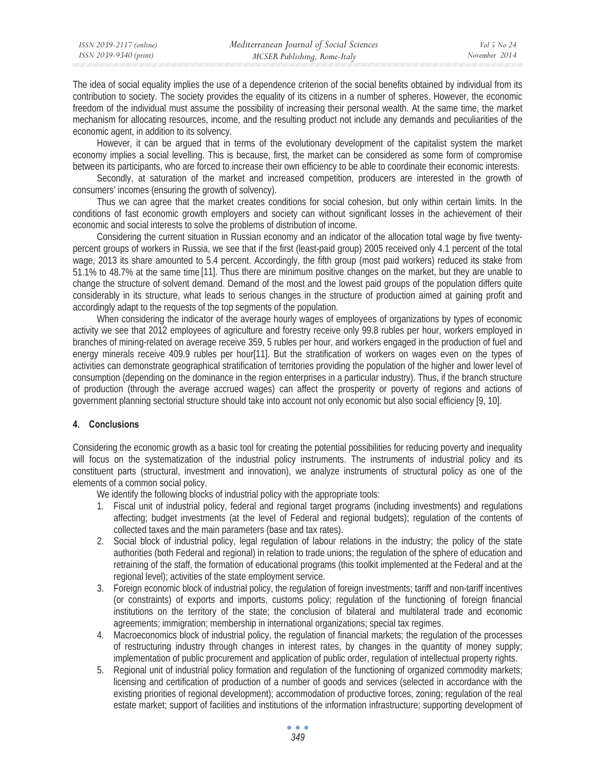The idea of social equality implies the use of a dependence criterion of the social benefits obtained by individual from its contribution to society. The society provides the equality of its citizens in a number of spheres. However, the economic freedom of the individual must assume the possibility of increasing their personal wealth. At the same time, the market mechanism for allocating resources, income, and the resulting product not include any demands and peculiarities of the economic agent, in addition to its solvency.

However, it can be argued that in terms of the evolutionary development of the capitalist system the market economy implies a social levelling. This is because, first, the market can be considered as some form of compromise between its participants, who are forced to increase their own efficiency to be able to coordinate their economic interests.

Secondly, at saturation of the market and increased competition, producers are interested in the growth of consumers' incomes (ensuring the growth of solvency).

Thus we can agree that the market creates conditions for social cohesion, but only within certain limits. In the conditions of fast economic growth employers and society can without significant losses in the achievement of their economic and social interests to solve the problems of distribution of income.

Considering the current situation in Russian economy and an indicator of the allocation total wage by five twentypercent groups of workers in Russia, we see that if the first (least-paid group) 2005 received only 4.1 percent of the total wage, 2013 its share amounted to 5.4 percent. Accordingly, the fifth group (most paid workers) reduced its stake from 51.1% to 48.7% at the same time [11]. Thus there are minimum positive changes on the market, but they are unable to change the structure of solvent demand. Demand of the most and the lowest paid groups of the population differs quite considerably in its structure, what leads to serious changes in the structure of production aimed at gaining profit and accordingly adapt to the requests of the top segments of the population.

When considering the indicator of the average hourly wages of employees of organizations by types of economic activity we see that 2012 employees of agriculture and forestry receive only 99.8 rubles per hour, workers employed in branches of mining-related on average receive 359, 5 rubles per hour, and workers engaged in the production of fuel and energy minerals receive 409.9 rubles per hour[11]. But the stratification of workers on wages even on the types of activities can demonstrate geographical stratification of territories providing the population of the higher and lower level of consumption (depending on the dominance in the region enterprises in a particular industry). Thus, if the branch structure of production (through the average accrued wages) can affect the prosperity or poverty of regions and actions of government planning sectorial structure should take into account not only economic but also social efficiency [9, 10].

# **4. Conclusions**

Considering the economic growth as a basic tool for creating the potential possibilities for reducing poverty and inequality will focus on the systematization of the industrial policy instruments. The instruments of industrial policy and its constituent parts (structural, investment and innovation), we analyze instruments of structural policy as one of the elements of a common social policy.

We identify the following blocks of industrial policy with the appropriate tools:

- 1. Fiscal unit of industrial policy, federal and regional target programs (including investments) and regulations affecting; budget investments (at the level of Federal and regional budgets); regulation of the contents of collected taxes and the main parameters (base and tax rates).
- 2. Social block of industrial policy, legal regulation of labour relations in the industry; the policy of the state authorities (both Federal and regional) in relation to trade unions; the regulation of the sphere of education and retraining of the staff, the formation of educational programs (this toolkit implemented at the Federal and at the regional level); activities of the state employment service.
- 3. Foreign economic block of industrial policy, the regulation of foreign investments; tariff and non-tariff incentives (or constraints) of exports and imports, customs policy; regulation of the functioning of foreign financial institutions on the territory of the state; the conclusion of bilateral and multilateral trade and economic agreements; immigration; membership in international organizations; special tax regimes.
- 4. Macroeconomics block of industrial policy, the regulation of financial markets; the regulation of the processes of restructuring industry through changes in interest rates, by changes in the quantity of money supply; implementation of public procurement and application of public order, regulation of intellectual property rights.
- 5. Regional unit of industrial policy formation and regulation of the functioning of organized commodity markets; licensing and certification of production of a number of goods and services (selected in accordance with the existing priorities of regional development); accommodation of productive forces, zoning; regulation of the real estate market; support of facilities and institutions of the information infrastructure; supporting development of